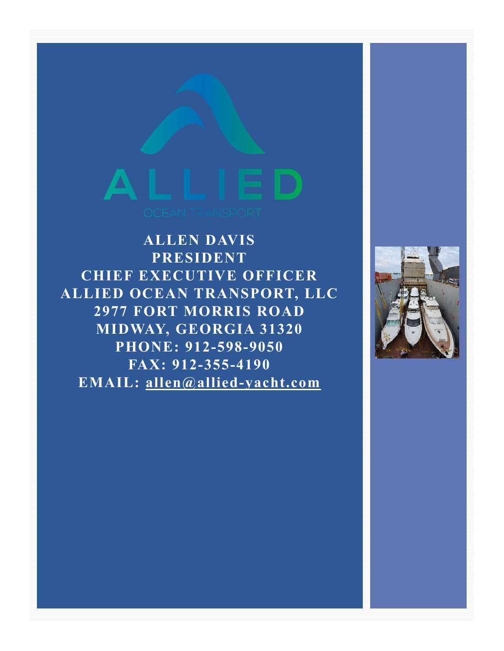**ALLEN DAVIS PRESIDENT CHIEF EXECUTIVE OFFICER ALLIED OCEAN TRANSPORT, LLC 2977 FORT MORRIS ROAD MIDWAY, GEORGIA 31320 PHONE: 912-598-9050 FAX: 912-355-4190 EMAIL: allen@allied-yacht.com**

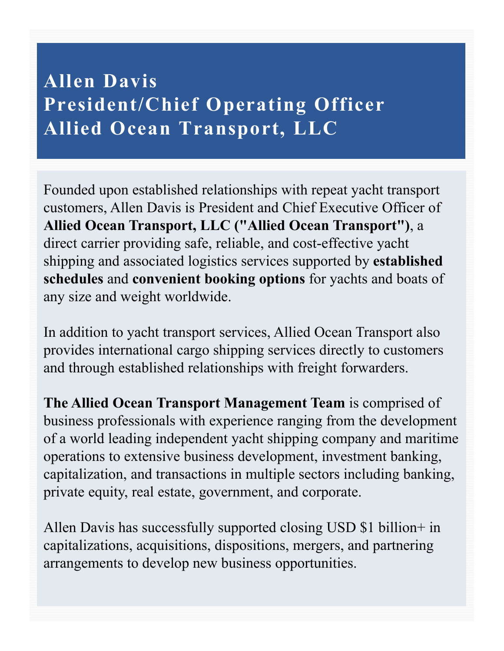#### **Allen Davis President/Chief Operating Officer Allied Ocean Transport, LLC**

Founded upon established relationships with repeat yacht transport customers, Allen Davis is President and Chief Executive Officer of **Allied Ocean Transport, LLC ("Allied Ocean Transport")**, a direct carrier providing safe, reliable, and cost-effective yacht shipping and associated logistics services supported by **established schedules** and **convenient booking options** for yachts and boats of any size and weight worldwide.

In addition to yacht transport services, Allied Ocean Transport also provides international cargo shipping services directly to customers and through established relationships with freight forwarders.

**The Allied Ocean Transport Management Team** is comprised of business professionals with experience ranging from the development of a world leading independent yacht shipping company and maritime operations to extensive business development, investment banking, capitalization, and transactions in multiple sectors including banking, private equity, real estate, government, and corporate.

Allen Davis has successfully supported closing USD \$1 billion+ in capitalizations, acquisitions, dispositions, mergers, and partnering arrangements to develop new business opportunities.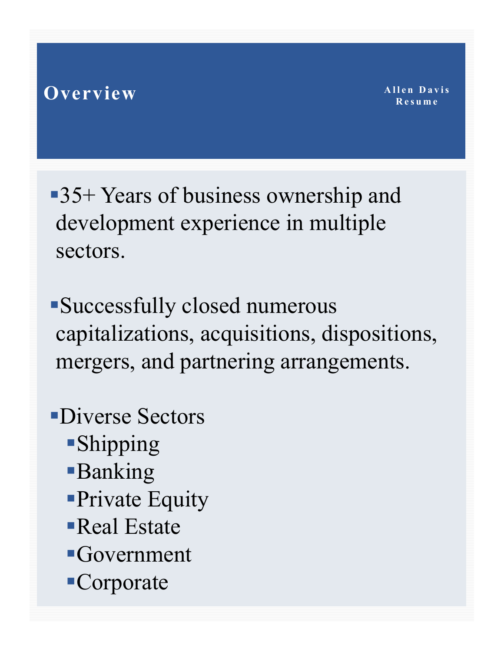#### **Overview**

35+ Years of business ownership and development experience in multiple sectors.

- Successfully closed numerous capitalizations, acquisitions, dispositions, mergers, and partnering arrangements.
- Diverse Sectors
	- Shipping
	- **Banking**
	- Private Equity
	- Real Estate
	- Government
	- Corporate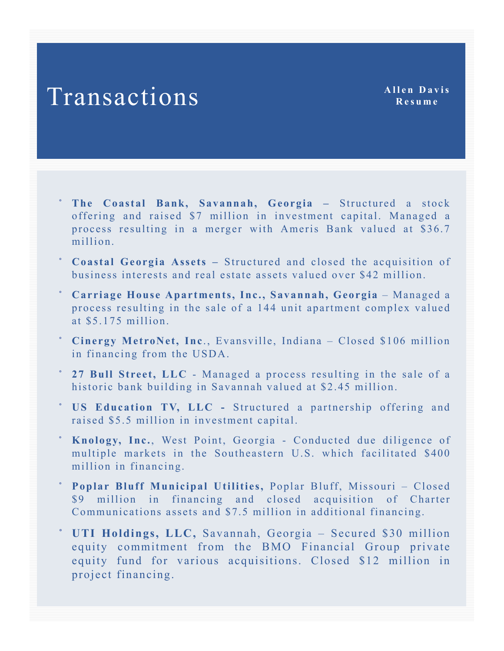- **The Coastal Bank, Savannah, Georgia –** Structured a stock offering and raised \$7 million in investment capital. Managed a process resulting in a merger with Ameris Bank valued at \$36.7 million.
- **Coastal Georgia Assets –** Structured and closed the acquisition of business interests and real estate assets valued over \$42 million.
- **Carriage House Apartments, Inc., Savannah, Georgia** Managed a process resulting in the sale of a 144 unit apartment complex valued at \$5.175 million.
- <sup>\*</sup> Cinergy MetroNet, Inc., Evansville, Indiana Closed \$106 million in financing from the USDA.
- **27 Bull Street, LLC** Managed a process resulting in the sale of a historic bank building in Savannah valued at \$2.45 million.
- **US Education TV, LLC -** Structured a partnership offering and raised \$5.5 million in investment capital.
- **Knology, Inc.**, West Point, Georgia Conducted due diligence of multiple markets in the Southeastern U.S. which facilitated \$400 million in financing.
- **Poplar Bluff Municipal Utilities,** Poplar Bluff, Missouri Closed \$9 million in financing and closed acquisition of Charter Communications assets and \$7.5 million in additional financing.
- **UTI Holdings, LLC,** Savannah, Georgia Secured \$30 million equity commitment from the BMO Financial Group private equity fund for various acquisitions. Closed \$12 million in project financing.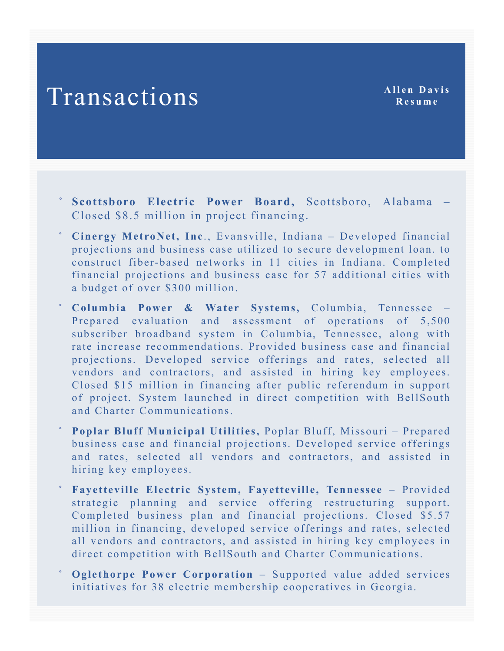- **Scottsboro Electric Power Board,** Scottsboro, Alabama Closed \$8.5 million in project financing.
- Cinergy MetroNet, Inc., Evansville, Indiana Developed financial projections and business case utilized to secure development loan. to construct fiber-based networks in 11 cities in Indiana. Completed financial projections and business case for 57 additional cities with a budget of over \$300 million.
- **Columbia Power & Water Systems,** Columbia, Tennessee Prepared evaluation and assessment of operations of 5,500 subscriber broadband system in Columbia, Tennessee, along with rate increase recommendations. Provided business case and financial projections. Developed service offerings and rates, selected all vendors and contractors, and assisted in hiring key employees. Closed \$15 million in financing after public referendum in support of project. System launched in direct competition with BellSouth and Charter Communications.
- **Poplar Bluff Municipal Utilities,** Poplar Bluff, Missouri Prepared business case and financial projections. Developed service offerings and rates, selected all vendors and contractors, and assisted in hiring key employees.
- **Fayetteville Electric System, Fayetteville, Tennessee** Provided strategic planning and service offering restructuring support. Completed business plan and financial projections. Closed \$5.57 million in financing, developed service offerings and rates, selected all vendors and contractors, and assisted in hiring key employees in direct competition with BellSouth and Charter Communications.
- **Oglethorpe Power Corporation** Supported value added services initiatives for 38 electric membership cooperatives in Georgia.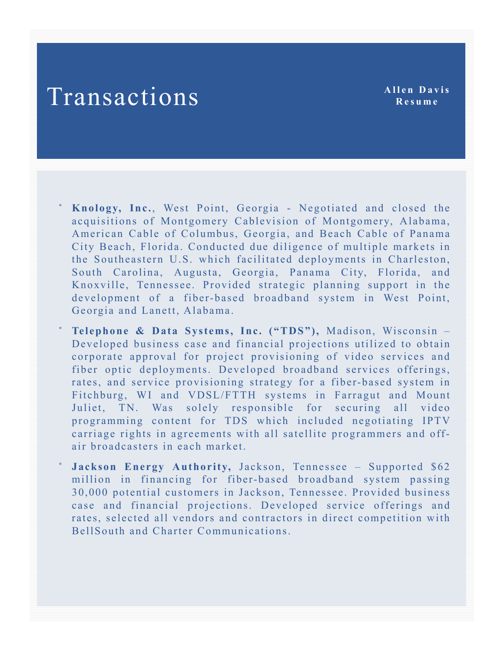**Resume**

 **Knology, Inc.**, West Point, Georgia - Negotiated and closed the acquisitions of Montgomery Cablevision of Montgomery, Alabama, American Cable of Columbus, Georgia, and Beach Cable of Panama City Beach, Florida. Conducted due diligence of multiple markets in the Southeastern U.S. which facilitated deployments in Charleston, South Carolina, Augusta, Georgia, Panama City, Florida, and Knoxville, Tennessee. Provided strategic planning support in the development of a fiber-based broadband system in West Point, Georgia and Lanett, Alabama.

 **Telephone & Data Systems, Inc. ("TDS"),** Madison, Wisconsin – Developed business case and financial projections utilized to obtain corporate approval for project provisioning of video services and fiber optic deployments. Developed broadband services offerings, rates, and service provisioning strategy for a fiber-based system in Fitchburg, WI and VDSL/FTTH systems in Farragut and Mount Juliet, TN. Was solely responsible for securing all video programming content for TDS which included negotiating IPTV carriage rights in agreements with all satellite programmers and offair broadcasters in each market.

 **Jackson Energy Authority,** Jackson, Tennessee – Supported \$62 million in financing for fiber-based broadband system passing 30,000 potential customers in Jackson, Tennessee. Provided business case and financial projections. Developed service offerings and rates, selected all vendors and contractors in direct competition with BellSouth and Charter Communications.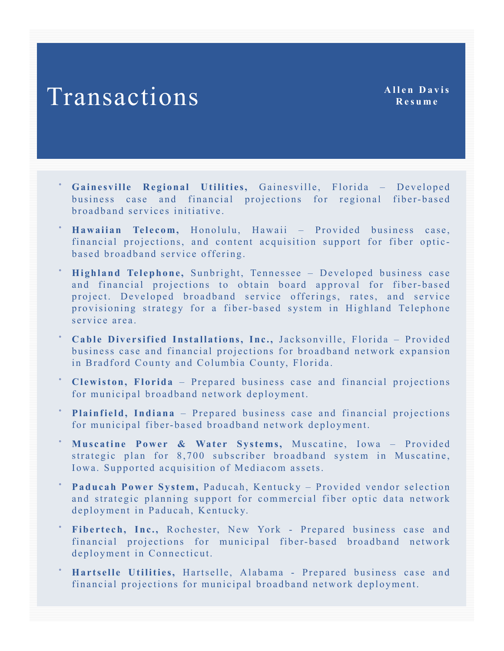- **Gainesville Regional Utilities,** Gainesville, Florida Developed business case and financial projections for regional fiber-based broadband services initiative.
- **Hawaiian Telecom,** Honolulu, Hawaii Provided business case, financial projections, and content acquisition support for fiber opticbased broadband service offering.
- **Highland Telephone,** Sunbright, Tennessee Developed business case and financial projections to obtain board approval for fiber-based project. Developed broadband service offerings, rates, and service provisioning strategy for a fiber-based system in Highland Telephone service area.
- **Cable Diversified Installations, Inc.,** Jacksonville, Florida Provided business case and financial projections for broadband network expansion in Bradford County and Columbia County, Florida.
- **Clewiston, Florida** Prepared business case and financial projections for municipal broadband network deployment.
- **Plainfield, Indiana** Prepared business case and financial projections for municipal fiber-based broadband network deployment.
- **Muscatine Power & Water Systems,** Muscatine, Iowa Provided strategic plan for 8,700 subscriber broadband system in Muscatine, Iowa. Supported acquisition of Mediacom assets.
- **Paducah Power System,** Paducah, Kentucky Provided vendor selection and strategic planning support for commercial fiber optic data network deployment in Paducah, Kentucky.
- **Fibertech, Inc.,** Rochester, New York Prepared business case and financial projections for municipal fiber-based broadband network deployment in Connecticut.
- **Hartselle Utilities,** Hartselle, Alabama Prepared business case and financial projections for municipal broadband network deployment.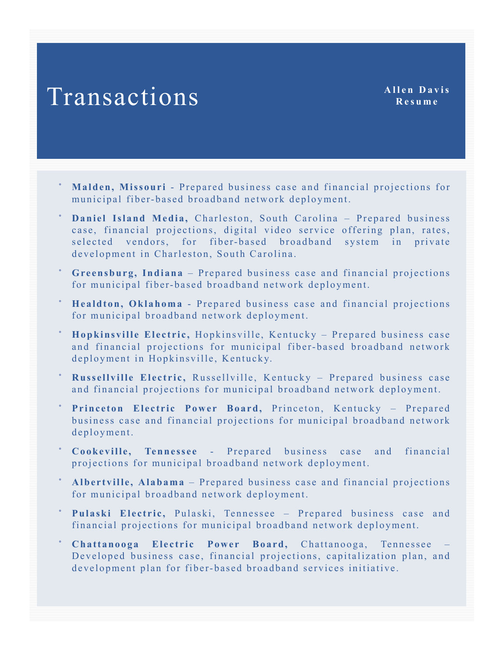- **Malden, Missouri** Prepared business case and financial projections for municipal fiber-based broadband network deployment.
- **Daniel Island Media,** Charleston, South Carolina Prepared business case, financial projections, digital video service offering plan, rates, selected vendors, for fiber-based broadband system in private development in Charleston, South Carolina.
- **Greensburg, Indiana** Prepared business case and financial projections for municipal fiber-based broadband network deployment.
- **Healdton, Oklahoma** Prepared business case and financial projections for municipal broadband network deployment.
- **Hopkinsville Electric,** Hopkinsville, Kentucky Prepared business case and financial projections for municipal fiber-based broadband network deployment in Hopkinsville, Kentucky.
- **Russellville Electric,** Russellville, Kentucky Prepared business case and financial projections for municipal broadband network deployment.
- **Princeton Electric Power Board,** Princeton, Kentucky Prepared business case and financial projections for municipal broadband network deployment.
- **Cookeville, Tennessee** Prepared business case and financial projections for municipal broadband network deployment.
- **Albertville, Alabama** Prepared business case and financial projections for municipal broadband network deployment.
- **Pulaski Electric,** Pulaski, Tennessee Prepared business case and financial projections for municipal broadband network deployment.
- **Chattanooga Electric Power Board,** Chattanooga, Tennessee Developed business case, financial projections, capitalization plan, and development plan for fiber-based broadband services initiative.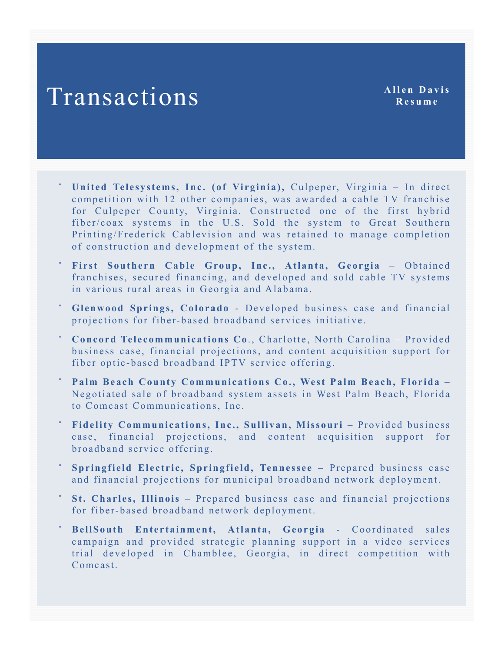- **United Telesystems, Inc. (of Virginia),** Culpeper, Virginia In direct competition with 12 other companies, was awarded a cable TV franchise for Culpeper County, Virginia. Constructed one of the first hybrid fiber/coax systems in the U.S. Sold the system to Great Southern Printing/Frederick Cablevision and was retained to manage completion of construction and development of the system.
- **First Southern Cable Group, Inc., Atlanta, Georgia** Obtained franchises, secured financing, and developed and sold cable TV systems in various rural areas in Georgia and Alabama.
- **Glenwood Springs, Colorado** Developed business case and financial projections for fiber-based broadband services initiative.
- **Concord Telecommunications Co**., Charlotte, North Carolina Provided business case, financial projections, and content acquisition support for fiber optic-based broadband IPTV service offering.
- **Palm Beach County Communications Co., West Palm Beach, Florida** Negotiated sale of broadband system assets in West Palm Beach, Florida to Comcast Communications, Inc.
- **Fidelity Communications, Inc., Sullivan, Missouri** Provided business case, financial projections, and content acquisition support for broadband service offering.
- **Springfield Electric, Springfield, Tennessee** Prepared business case and financial projections for municipal broadband network deployment.
- **St. Charles, Illinois** Prepared business case and financial projections for fiber-based broadband network deployment.
- **BellSouth Entertainment, Atlanta, Georgia** Coordinated sales campaign and provided strategic planning support in a video services trial developed in Chamblee, Georgia, in direct competition with Comcast.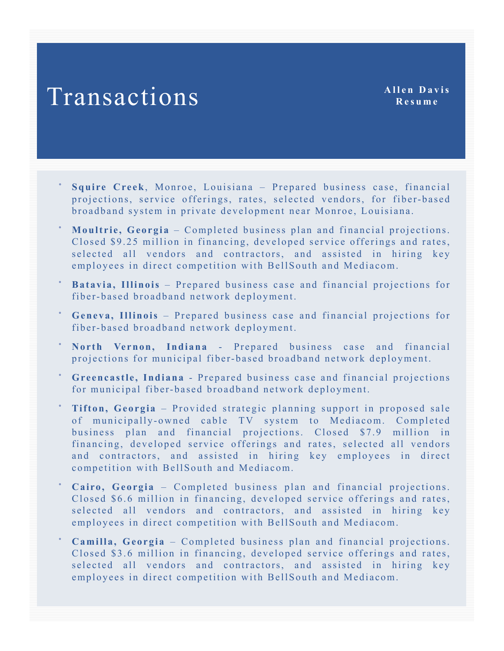- **Squire Creek**, Monroe, Louisiana Prepared business case, financial projections, service offerings, rates, selected vendors, for fiber-based broadband system in private development near Monroe, Louisiana.
- **Moultrie, Georgia** Completed business plan and financial projections. Closed \$9.25 million in financing, developed service offerings and rates, selected all vendors and contractors, and assisted in hiring key employees in direct competition with BellSouth and Mediacom.
- **Batavia, Illinois** Prepared business case and financial projections for fiber-based broadband network deployment.
- **Geneva, Illinois** Prepared business case and financial projections for fiber-based broadband network deployment.
- **North Vernon, Indiana** Prepared business case and financial projections for municipal fiber-based broadband network deployment.
- **Greencastle, Indiana** Prepared business case and financial projections for municipal fiber-based broadband network deployment.
- **Tifton, Georgia** Provided strategic planning support in proposed sale of municipally-owned cable TV system to Mediacom. Completed business plan and financial projections. Closed \$7.9 million in financing, developed service offerings and rates, selected all vendors and contractors, and assisted in hiring key employees in direct competition with BellSouth and Mediacom.
- **Cairo, Georgia** Completed business plan and financial projections. Closed \$6.6 million in financing, developed service offerings and rates, selected all vendors and contractors, and assisted in hiring key employees in direct competition with BellSouth and Mediacom.
- **Camilla, Georgia** Completed business plan and financial projections. Closed \$3.6 million in financing, developed service offerings and rates, selected all vendors and contractors, and assisted in hiring key employees in direct competition with BellSouth and Mediacom.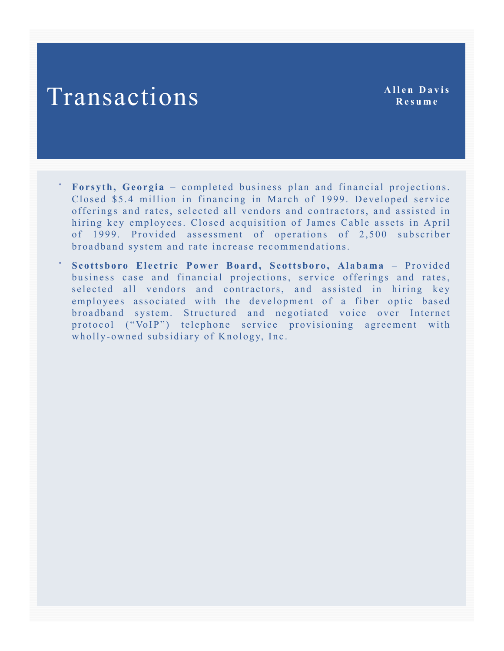**Resume**

- **Forsyth, Georgia** completed business plan and financial projections. Closed \$5.4 million in financing in March of 1999. Developed service offerings and rates, selected all vendors and contractors, and assisted in hiring key employees. Closed acquisition of James Cable assets in April of 1999. Provided assessment of operations of 2,500 subscriber broadband system and rate increase recommendations.
- **Scottsboro Electric Power Board, Scottsboro, Alabama** Provided business case and financial projections, service offerings and rates, selected all vendors and contractors, and assisted in hiring key employees associated with the development of a fiber optic based broadband system. Structured and negotiated voice over Internet protocol ("VoIP") telephone service provisioning agreement with wholly-owned subsidiary of Knology, Inc.